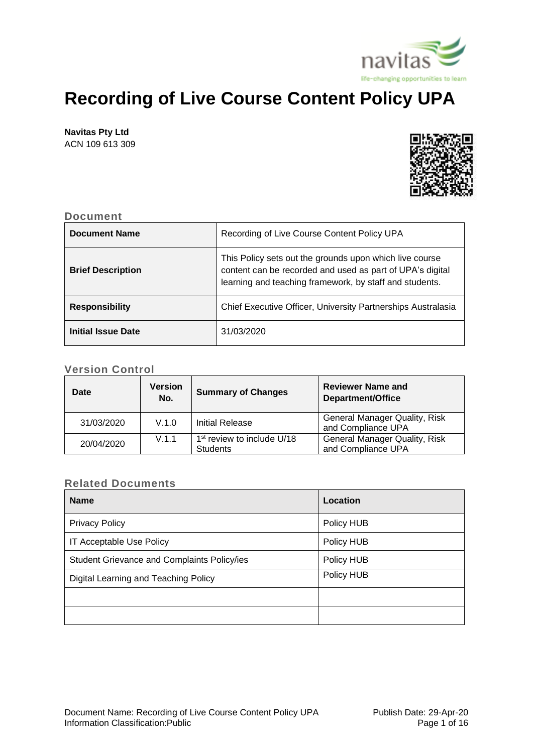

# **Recording of Live Course Content Policy UPA**

**Navitas Pty Ltd**

ACN 109 613 309



## **Document**

| <b>Document Name</b>     | Recording of Live Course Content Policy UPA                                                                                                                                     |
|--------------------------|---------------------------------------------------------------------------------------------------------------------------------------------------------------------------------|
| <b>Brief Description</b> | This Policy sets out the grounds upon which live course<br>content can be recorded and used as part of UPA's digital<br>learning and teaching framework, by staff and students. |
| <b>Responsibility</b>    | Chief Executive Officer, University Partnerships Australasia                                                                                                                    |
| Initial Issue Date       | 31/03/2020                                                                                                                                                                      |

## **Version Control**

| Date       | Version<br>No. | <b>Summary of Changes</b>                                 | <b>Reviewer Name and</b><br>Department/Office              |
|------------|----------------|-----------------------------------------------------------|------------------------------------------------------------|
| 31/03/2020 | V.1.0          | Initial Release                                           | <b>General Manager Quality, Risk</b><br>and Compliance UPA |
| 20/04/2020 | V.1.1          | 1 <sup>st</sup> review to include U/18<br><b>Students</b> | <b>General Manager Quality, Risk</b><br>and Compliance UPA |

## **Related Documents**

| <b>Name</b>                                 | Location   |
|---------------------------------------------|------------|
| <b>Privacy Policy</b>                       | Policy HUB |
| IT Acceptable Use Policy                    | Policy HUB |
| Student Grievance and Complaints Policy/ies | Policy HUB |
| Digital Learning and Teaching Policy        | Policy HUB |
|                                             |            |
|                                             |            |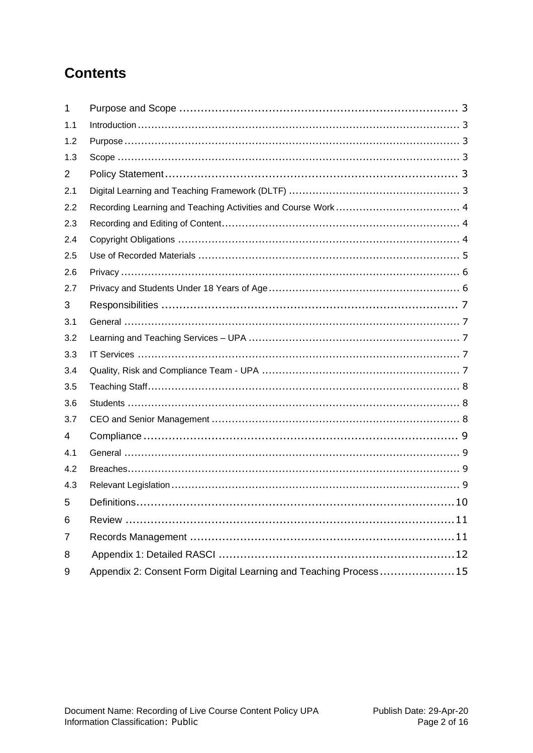## **Contents**

| 1              |                                                                  |  |
|----------------|------------------------------------------------------------------|--|
| 1.1            |                                                                  |  |
| 1.2            |                                                                  |  |
| 1.3            |                                                                  |  |
| $\overline{2}$ |                                                                  |  |
| 2.1            |                                                                  |  |
| 2.2            |                                                                  |  |
| 2.3            |                                                                  |  |
| 2.4            |                                                                  |  |
| 2.5            |                                                                  |  |
| 2.6            |                                                                  |  |
| 2.7            |                                                                  |  |
| 3              |                                                                  |  |
| 3.1            |                                                                  |  |
| 3.2            |                                                                  |  |
| 3.3            |                                                                  |  |
| 3.4            |                                                                  |  |
| 3.5            |                                                                  |  |
| 3.6            |                                                                  |  |
| 3.7            |                                                                  |  |
| 4              |                                                                  |  |
| 4.1            |                                                                  |  |
| 4.2            |                                                                  |  |
| 4.3            |                                                                  |  |
| 5 <sup>5</sup> |                                                                  |  |
| 6              |                                                                  |  |
| $\overline{7}$ |                                                                  |  |
| 8              |                                                                  |  |
| 9              | Appendix 2: Consent Form Digital Learning and Teaching Process15 |  |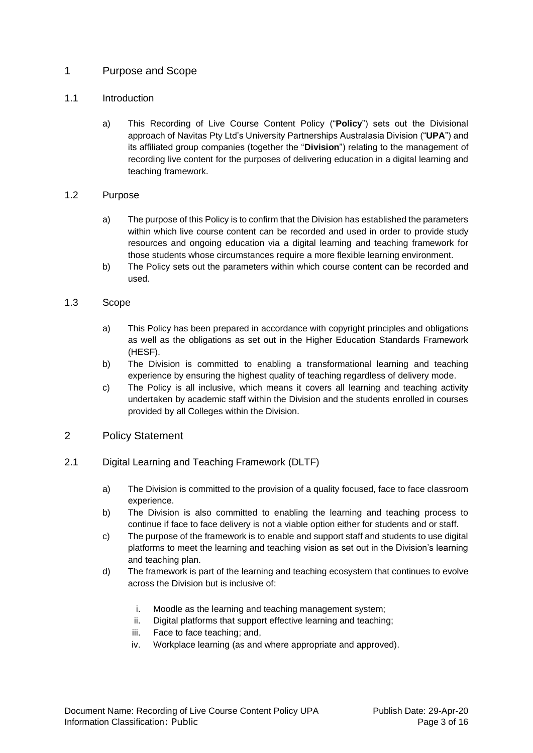## <span id="page-2-0"></span>1 Purpose and Scope

## <span id="page-2-1"></span>1.1 Introduction

a) This Recording of Live Course Content Policy ("**Policy**") sets out the Divisional approach of Navitas Pty Ltd's University Partnerships Australasia Division ("**UPA**") and its affiliated group companies (together the "**Division**") relating to the management of recording live content for the purposes of delivering education in a digital learning and teaching framework.

## <span id="page-2-2"></span>1.2 Purpose

- a) The purpose of this Policy is to confirm that the Division has established the parameters within which live course content can be recorded and used in order to provide study resources and ongoing education via a digital learning and teaching framework for those students whose circumstances require a more flexible learning environment.
- b) The Policy sets out the parameters within which course content can be recorded and used.

## <span id="page-2-3"></span>1.3 Scope

- a) This Policy has been prepared in accordance with copyright principles and obligations as well as the obligations as set out in the Higher Education Standards Framework (HESF).
- b) The Division is committed to enabling a transformational learning and teaching experience by ensuring the highest quality of teaching regardless of delivery mode.
- c) The Policy is all inclusive, which means it covers all learning and teaching activity undertaken by academic staff within the Division and the students enrolled in courses provided by all Colleges within the Division.

## <span id="page-2-4"></span>2 Policy Statement

- <span id="page-2-5"></span>2.1 Digital Learning and Teaching Framework (DLTF)
	- a) The Division is committed to the provision of a quality focused, face to face classroom experience.
	- b) The Division is also committed to enabling the learning and teaching process to continue if face to face delivery is not a viable option either for students and or staff.
	- c) The purpose of the framework is to enable and support staff and students to use digital platforms to meet the learning and teaching vision as set out in the Division's learning and teaching plan.
	- d) The framework is part of the learning and teaching ecosystem that continues to evolve across the Division but is inclusive of:
		- i. Moodle as the learning and teaching management system;
		- ii. Digital platforms that support effective learning and teaching;
		- iii. Face to face teaching; and,
		- iv. Workplace learning (as and where appropriate and approved).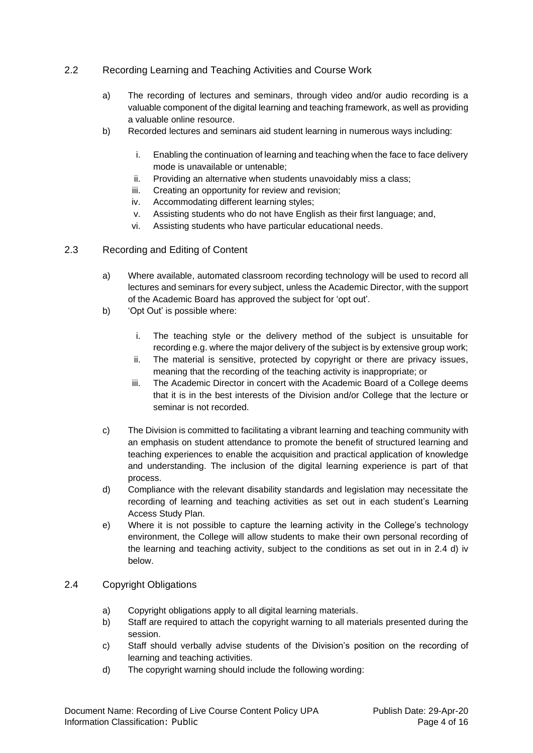## <span id="page-3-0"></span>2.2 Recording Learning and Teaching Activities and Course Work

- a) The recording of lectures and seminars, through video and/or audio recording is a valuable component of the digital learning and teaching framework, as well as providing a valuable online resource.
- b) Recorded lectures and seminars aid student learning in numerous ways including:
	- i. Enabling the continuation of learning and teaching when the face to face delivery mode is unavailable or untenable;
	- ii. Providing an alternative when students unavoidably miss a class;
	- iii. Creating an opportunity for review and revision;
	- iv. Accommodating different learning styles;
	- v. Assisting students who do not have English as their first language; and,
	- vi. Assisting students who have particular educational needs.

## <span id="page-3-1"></span>2.3 Recording and Editing of Content

- a) Where available, automated classroom recording technology will be used to record all lectures and seminars for every subject, unless the Academic Director, with the support of the Academic Board has approved the subject for 'opt out'.
- b) 'Opt Out' is possible where:
	- i. The teaching style or the delivery method of the subject is unsuitable for recording e.g. where the major delivery of the subject is by extensive group work;
	- ii. The material is sensitive, protected by copyright or there are privacy issues, meaning that the recording of the teaching activity is inappropriate; or
	- iii. The Academic Director in concert with the Academic Board of a College deems that it is in the best interests of the Division and/or College that the lecture or seminar is not recorded.
- c) The Division is committed to facilitating a vibrant learning and teaching community with an emphasis on student attendance to promote the benefit of structured learning and teaching experiences to enable the acquisition and practical application of knowledge and understanding. The inclusion of the digital learning experience is part of that process.
- d) Compliance with the relevant disability standards and legislation may necessitate the recording of learning and teaching activities as set out in each student's Learning Access Study Plan.
- e) Where it is not possible to capture the learning activity in the College's technology environment, the College will allow students to make their own personal recording of the learning and teaching activity, subject to the conditions as set out in in 2.4 d) iv below.

### <span id="page-3-2"></span>2.4 Copyright Obligations

- a) Copyright obligations apply to all digital learning materials.
- b) Staff are required to attach the copyright warning to all materials presented during the session.
- c) Staff should verbally advise students of the Division's position on the recording of learning and teaching activities.
- d) The copyright warning should include the following wording: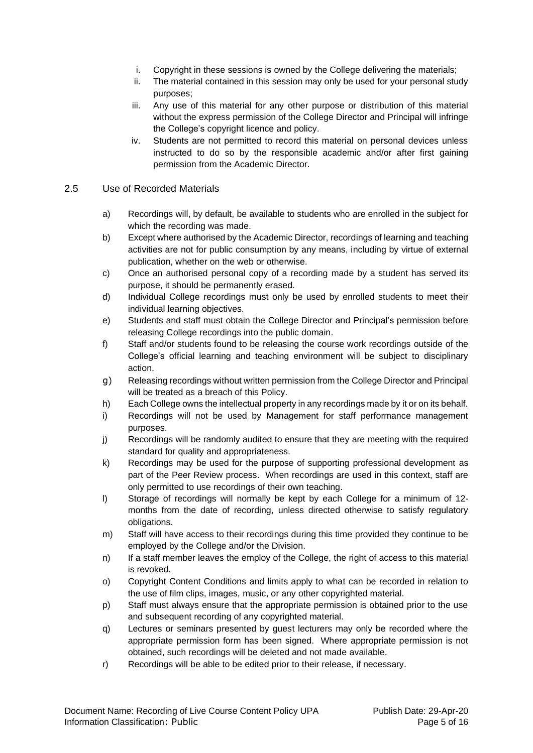- i. Copyright in these sessions is owned by the College delivering the materials;
- ii. The material contained in this session may only be used for your personal study purposes;
- iii. Any use of this material for any other purpose or distribution of this material without the express permission of the College Director and Principal will infringe the College's copyright licence and policy.
- iv. Students are not permitted to record this material on personal devices unless instructed to do so by the responsible academic and/or after first gaining permission from the Academic Director.

#### <span id="page-4-0"></span>2.5 Use of Recorded Materials

- a) Recordings will, by default, be available to students who are enrolled in the subject for which the recording was made.
- b) Except where authorised by the Academic Director, recordings of learning and teaching activities are not for public consumption by any means, including by virtue of external publication, whether on the web or otherwise.
- c) Once an authorised personal copy of a recording made by a student has served its purpose, it should be permanently erased.
- d) Individual College recordings must only be used by enrolled students to meet their individual learning objectives.
- e) Students and staff must obtain the College Director and Principal's permission before releasing College recordings into the public domain.
- f) Staff and/or students found to be releasing the course work recordings outside of the College's official learning and teaching environment will be subject to disciplinary action.
- g) Releasing recordings without written permission from the College Director and Principal will be treated as a breach of this Policy.
- h) Each College owns the intellectual property in any recordings made by it or on its behalf.
- i) Recordings will not be used by Management for staff performance management purposes.
- j) Recordings will be randomly audited to ensure that they are meeting with the required standard for quality and appropriateness.
- k) Recordings may be used for the purpose of supporting professional development as part of the Peer Review process. When recordings are used in this context, staff are only permitted to use recordings of their own teaching.
- l) Storage of recordings will normally be kept by each College for a minimum of 12 months from the date of recording, unless directed otherwise to satisfy regulatory obligations.
- m) Staff will have access to their recordings during this time provided they continue to be employed by the College and/or the Division.
- n) If a staff member leaves the employ of the College, the right of access to this material is revoked.
- o) Copyright Content Conditions and limits apply to what can be recorded in relation to the use of film clips, images, music, or any other copyrighted material.
- p) Staff must always ensure that the appropriate permission is obtained prior to the use and subsequent recording of any copyrighted material.
- q) Lectures or seminars presented by guest lecturers may only be recorded where the appropriate permission form has been signed. Where appropriate permission is not obtained, such recordings will be deleted and not made available.
- r) Recordings will be able to be edited prior to their release, if necessary.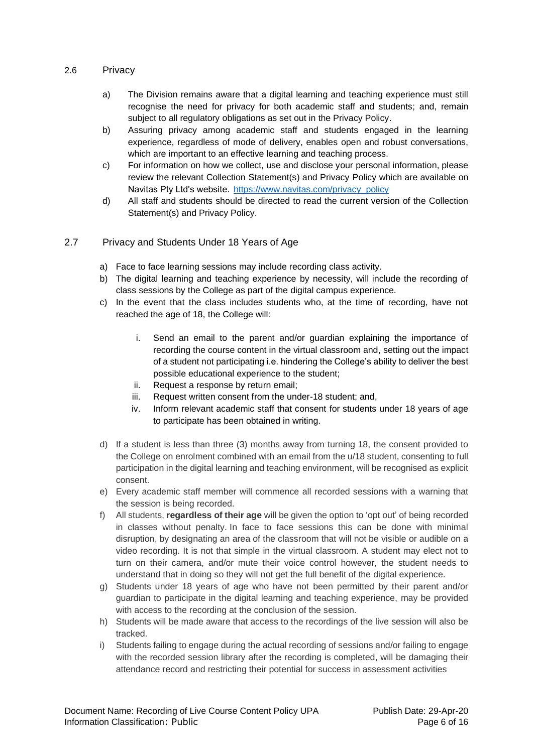#### <span id="page-5-0"></span>2.6 Privacy

- a) The Division remains aware that a digital learning and teaching experience must still recognise the need for privacy for both academic staff and students; and, remain subject to all regulatory obligations as set out in the Privacy Policy.
- b) Assuring privacy among academic staff and students engaged in the learning experience, regardless of mode of delivery, enables open and robust conversations, which are important to an effective learning and teaching process.
- c) For information on how we collect, use and disclose your personal information, please review the relevant Collection Statement(s) and Privacy Policy which are available on Navitas Pty Ltd's website. [https://www.navitas.com/privacy\\_policy](https://www.navitas.com/privacy_policy)
- d) All staff and students should be directed to read the current version of the Collection Statement(s) and Privacy Policy.

### <span id="page-5-1"></span>2.7 Privacy and Students Under 18 Years of Age

- a) Face to face learning sessions may include recording class activity.
- b) The digital learning and teaching experience by necessity, will include the recording of class sessions by the College as part of the digital campus experience.
- c) In the event that the class includes students who, at the time of recording, have not reached the age of 18, the College will:
	- i. Send an email to the parent and/or guardian explaining the importance of recording the course content in the virtual classroom and, setting out the impact of a student not participating i.e. hindering the College's ability to deliver the best possible educational experience to the student;
	- ii. Request a response by return email;
	- iii. Request written consent from the under-18 student; and,
	- iv. Inform relevant academic staff that consent for students under 18 years of age to participate has been obtained in writing.
- d) If a student is less than three (3) months away from turning 18, the consent provided to the College on enrolment combined with an email from the u/18 student, consenting to full participation in the digital learning and teaching environment, will be recognised as explicit consent.
- e) Every academic staff member will commence all recorded sessions with a warning that the session is being recorded.
- f) All students, **regardless of their age** will be given the option to 'opt out' of being recorded in classes without penalty. In face to face sessions this can be done with minimal disruption, by designating an area of the classroom that will not be visible or audible on a video recording. It is not that simple in the virtual classroom. A student may elect not to turn on their camera, and/or mute their voice control however, the student needs to understand that in doing so they will not get the full benefit of the digital experience.
- g) Students under 18 years of age who have not been permitted by their parent and/or guardian to participate in the digital learning and teaching experience, may be provided with access to the recording at the conclusion of the session.
- h) Students will be made aware that access to the recordings of the live session will also be tracked.
- i) Students failing to engage during the actual recording of sessions and/or failing to engage with the recorded session library after the recording is completed, will be damaging their attendance record and restricting their potential for success in assessment activities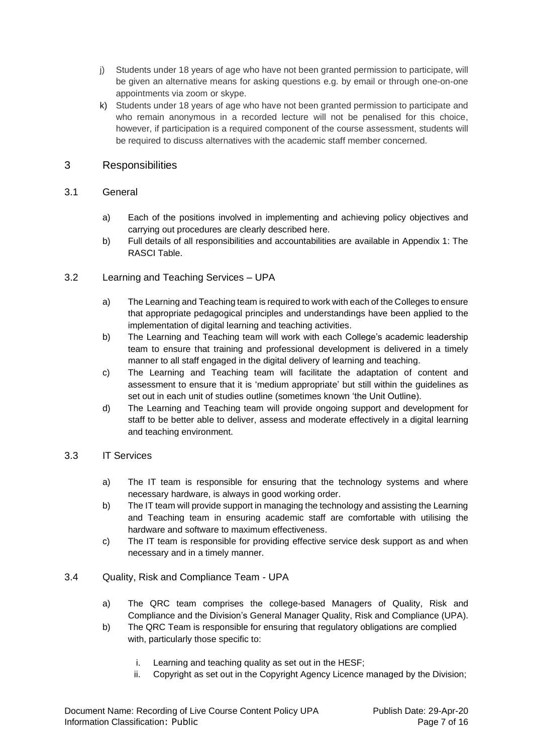- j) Students under 18 years of age who have not been granted permission to participate, will be given an alternative means for asking questions e.g. by email or through one-on-one appointments via zoom or skype.
- k) Students under 18 years of age who have not been granted permission to participate and who remain anonymous in a recorded lecture will not be penalised for this choice, however, if participation is a required component of the course assessment, students will be required to discuss alternatives with the academic staff member concerned.

## <span id="page-6-0"></span>3 Responsibilities

## <span id="page-6-1"></span>3.1 General

- a) Each of the positions involved in implementing and achieving policy objectives and carrying out procedures are clearly described here.
- b) Full details of all responsibilities and accountabilities are available in Appendix 1: The RASCI Table.

## <span id="page-6-2"></span>3.2 Learning and Teaching Services – UPA

- a) The Learning and Teaching team is required to work with each of the Colleges to ensure that appropriate pedagogical principles and understandings have been applied to the implementation of digital learning and teaching activities.
- b) The Learning and Teaching team will work with each College's academic leadership team to ensure that training and professional development is delivered in a timely manner to all staff engaged in the digital delivery of learning and teaching.
- c) The Learning and Teaching team will facilitate the adaptation of content and assessment to ensure that it is 'medium appropriate' but still within the guidelines as set out in each unit of studies outline (sometimes known 'the Unit Outline).
- d) The Learning and Teaching team will provide ongoing support and development for staff to be better able to deliver, assess and moderate effectively in a digital learning and teaching environment.

## <span id="page-6-3"></span>3.3 IT Services

- a) The IT team is responsible for ensuring that the technology systems and where necessary hardware, is always in good working order.
- b) The IT team will provide support in managing the technology and assisting the Learning and Teaching team in ensuring academic staff are comfortable with utilising the hardware and software to maximum effectiveness.
- c) The IT team is responsible for providing effective service desk support as and when necessary and in a timely manner.

## <span id="page-6-4"></span>3.4 Quality, Risk and Compliance Team - UPA

- a) The QRC team comprises the college-based Managers of Quality, Risk and Compliance and the Division's General Manager Quality, Risk and Compliance (UPA).
- b) The QRC Team is responsible for ensuring that regulatory obligations are complied with, particularly those specific to:
	- i. Learning and teaching quality as set out in the HESF;
	- ii. Copyright as set out in the Copyright Agency Licence managed by the Division;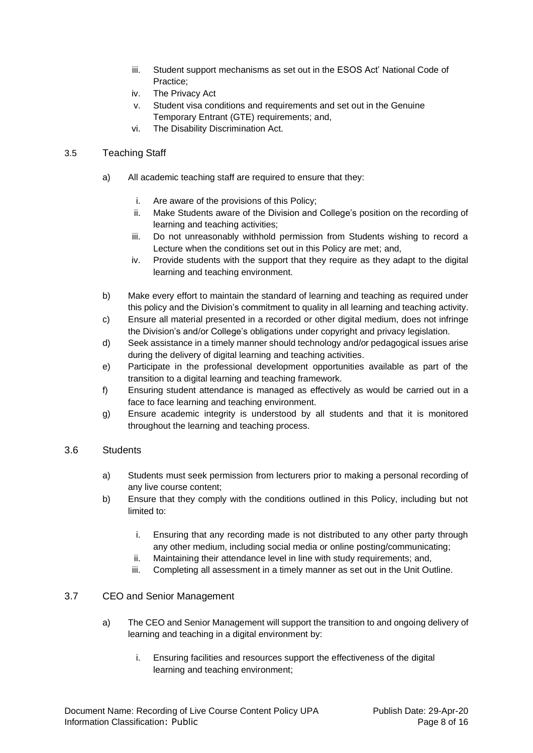- iii. Student support mechanisms as set out in the ESOS Act' National Code of Practice;
- iv. The Privacy Act
- v. Student visa conditions and requirements and set out in the Genuine Temporary Entrant (GTE) requirements; and,
- vi. The Disability Discrimination Act.

## <span id="page-7-0"></span>3.5 Teaching Staff

- a) All academic teaching staff are required to ensure that they:
	- i. Are aware of the provisions of this Policy;
	- ii. Make Students aware of the Division and College's position on the recording of learning and teaching activities;
	- iii. Do not unreasonably withhold permission from Students wishing to record a Lecture when the conditions set out in this Policy are met; and,
	- iv. Provide students with the support that they require as they adapt to the digital learning and teaching environment.
- b) Make every effort to maintain the standard of learning and teaching as required under this policy and the Division's commitment to quality in all learning and teaching activity.
- c) Ensure all material presented in a recorded or other digital medium, does not infringe the Division's and/or College's obligations under copyright and privacy legislation.
- d) Seek assistance in a timely manner should technology and/or pedagogical issues arise during the delivery of digital learning and teaching activities.
- e) Participate in the professional development opportunities available as part of the transition to a digital learning and teaching framework.
- f) Ensuring student attendance is managed as effectively as would be carried out in a face to face learning and teaching environment.
- g) Ensure academic integrity is understood by all students and that it is monitored throughout the learning and teaching process.

### <span id="page-7-1"></span>3.6 Students

- a) Students must seek permission from lecturers prior to making a personal recording of any live course content;
- b) Ensure that they comply with the conditions outlined in this Policy, including but not limited to:
	- i. Ensuring that any recording made is not distributed to any other party through any other medium, including social media or online posting/communicating;
	- ii. Maintaining their attendance level in line with study requirements; and,
	- iii. Completing all assessment in a timely manner as set out in the Unit Outline.

### <span id="page-7-2"></span>3.7 CEO and Senior Management

- a) The CEO and Senior Management will support the transition to and ongoing delivery of learning and teaching in a digital environment by:
	- i. Ensuring facilities and resources support the effectiveness of the digital learning and teaching environment;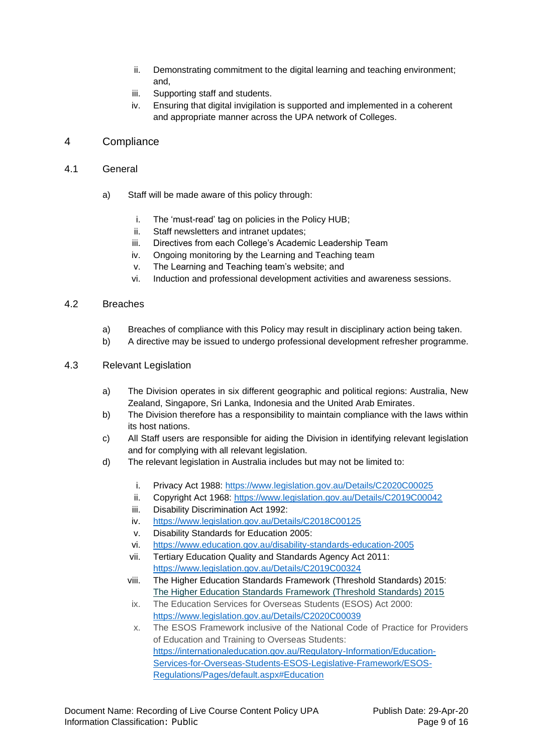- ii. Demonstrating commitment to the digital learning and teaching environment; and,
- iii. Supporting staff and students.
- iv. Ensuring that digital invigilation is supported and implemented in a coherent and appropriate manner across the UPA network of Colleges.

## <span id="page-8-0"></span>4 Compliance

- <span id="page-8-1"></span>4.1 General
	- a) Staff will be made aware of this policy through:
		- i. The 'must-read' tag on policies in the Policy HUB;
		- ii. Staff newsletters and intranet updates;
		- iii. Directives from each College's Academic Leadership Team
		- iv. Ongoing monitoring by the Learning and Teaching team
		- v. The Learning and Teaching team's website; and
		- vi. Induction and professional development activities and awareness sessions.

#### <span id="page-8-2"></span>4.2 Breaches

- a) Breaches of compliance with this Policy may result in disciplinary action being taken.
- b) A directive may be issued to undergo professional development refresher programme.

#### <span id="page-8-3"></span>4.3 Relevant Legislation

- a) The Division operates in six different geographic and political regions: Australia, New Zealand, Singapore, Sri Lanka, Indonesia and the United Arab Emirates.
- b) The Division therefore has a responsibility to maintain compliance with the laws within its host nations.
- c) All Staff users are responsible for aiding the Division in identifying relevant legislation and for complying with all relevant legislation.
- d) The relevant legislation in Australia includes but may not be limited to:
	- i. Privacy Act 1988: <https://www.legislation.gov.au/Details/C2020C00025>
	- ii. Copyright Act 1968:<https://www.legislation.gov.au/Details/C2019C00042>
	- iii. Disability Discrimination Act 1992:
	- iv. <https://www.legislation.gov.au/Details/C2018C00125>
	- v. Disability Standards for Education 2005:
	- vi. <https://www.education.gov.au/disability-standards-education-2005>
	- vii. Tertiary Education Quality and Standards Agency Act 2011: <https://www.legislation.gov.au/Details/C2019C00324>
	- viii. The Higher Education Standards Framework (Threshold Standards) 2015: [The Higher Education Standards Framework \(Threshold Standards\) 2015](https://www.legislation.gov.au/Details/F2015L01639)
	- ix. The Education Services for Overseas Students (ESOS) Act 2000: <https://www.legislation.gov.au/Details/C2020C00039>
	- x. The ESOS Framework inclusive of the National Code of Practice for Providers of Education and Training to Overseas Students: [https://internationaleducation.gov.au/Regulatory-Information/Education-](https://internationaleducation.gov.au/Regulatory-Information/Education-Services-for-Overseas-Students-ESOS-Legislative-Framework/ESOS-Regulations/Pages/default.aspx#Education)[Services-for-Overseas-Students-ESOS-Legislative-Framework/ESOS-](https://internationaleducation.gov.au/Regulatory-Information/Education-Services-for-Overseas-Students-ESOS-Legislative-Framework/ESOS-Regulations/Pages/default.aspx#Education)[Regulations/Pages/default.aspx#Education](https://internationaleducation.gov.au/Regulatory-Information/Education-Services-for-Overseas-Students-ESOS-Legislative-Framework/ESOS-Regulations/Pages/default.aspx#Education)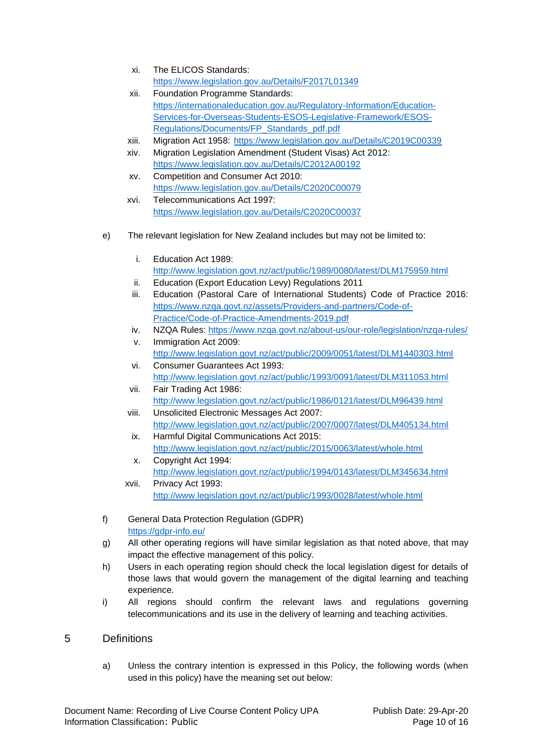- xi. The ELICOS Standards: <https://www.legislation.gov.au/Details/F2017L01349>
- xii. Foundation Programme Standards: [https://internationaleducation.gov.au/Regulatory-Information/Education-](https://internationaleducation.gov.au/Regulatory-Information/Education-Services-for-Overseas-Students-ESOS-Legislative-Framework/ESOS-Regulations/Documents/FP_Standards_pdf.pdf)[Services-for-Overseas-Students-ESOS-Legislative-Framework/ESOS-](https://internationaleducation.gov.au/Regulatory-Information/Education-Services-for-Overseas-Students-ESOS-Legislative-Framework/ESOS-Regulations/Documents/FP_Standards_pdf.pdf)[Regulations/Documents/FP\\_Standards\\_pdf.pdf](https://internationaleducation.gov.au/Regulatory-Information/Education-Services-for-Overseas-Students-ESOS-Legislative-Framework/ESOS-Regulations/Documents/FP_Standards_pdf.pdf)
- xiii. Migration Act 1958: <https://www.legislation.gov.au/Details/C2019C00339>
- xiv. Migration Legislation Amendment (Student Visas) Act 2012: <https://www.legislation.gov.au/Details/C2012A00192>
- xv. Competition and Consumer Act 2010: <https://www.legislation.gov.au/Details/C2020C00079> xvi. Telecommunications Act 1997: <https://www.legislation.gov.au/Details/C2020C00037>
- e) The relevant legislation for New Zealand includes but may not be limited to:
	- i. Education Act 1989: <http://www.legislation.govt.nz/act/public/1989/0080/latest/DLM175959.html>
	- ii. Education (Export Education Levy) Regulations 2011
	- iii. Education (Pastoral Care of International Students) Code of Practice 2016: [https://www.nzqa.govt.nz/assets/Providers-and-partners/Code-of-](https://www.nzqa.govt.nz/assets/Providers-and-partners/Code-of-Practice/Code-of-Practice-Amendments-2019.pdf)[Practice/Code-of-Practice-Amendments-2019.pdf](https://www.nzqa.govt.nz/assets/Providers-and-partners/Code-of-Practice/Code-of-Practice-Amendments-2019.pdf)
	- iv. NZQA Rules:<https://www.nzqa.govt.nz/about-us/our-role/legislation/nzqa-rules/> v. Immigration Act 2009:
	- <http://www.legislation.govt.nz/act/public/2009/0051/latest/DLM1440303.html> vi. Consumer Guarantees Act 1993:
	- <http://www.legislation.govt.nz/act/public/1993/0091/latest/DLM311053.html> vii. Fair Trading Act 1986:
	- <http://www.legislation.govt.nz/act/public/1986/0121/latest/DLM96439.html> viii. Unsolicited Electronic Messages Act 2007:
	- <http://www.legislation.govt.nz/act/public/2007/0007/latest/DLM405134.html> ix. Harmful Digital Communications Act 2015:
	- <http://www.legislation.govt.nz/act/public/2015/0063/latest/whole.html> x. Copyright Act 1994:
	- <http://www.legislation.govt.nz/act/public/1994/0143/latest/DLM345634.html> xvii. Privacy Act 1993:

<http://www.legislation.govt.nz/act/public/1993/0028/latest/whole.html>

- f) General Data Protection Regulation (GDPR) <https://gdpr-info.eu/>
- g) All other operating regions will have similar legislation as that noted above, that may impact the effective management of this policy.
- h) Users in each operating region should check the local legislation digest for details of those laws that would govern the management of the digital learning and teaching experience.
- i) All regions should confirm the relevant laws and regulations governing telecommunications and its use in the delivery of learning and teaching activities.

## <span id="page-9-0"></span>5 Definitions

a) Unless the contrary intention is expressed in this Policy, the following words (when used in this policy) have the meaning set out below: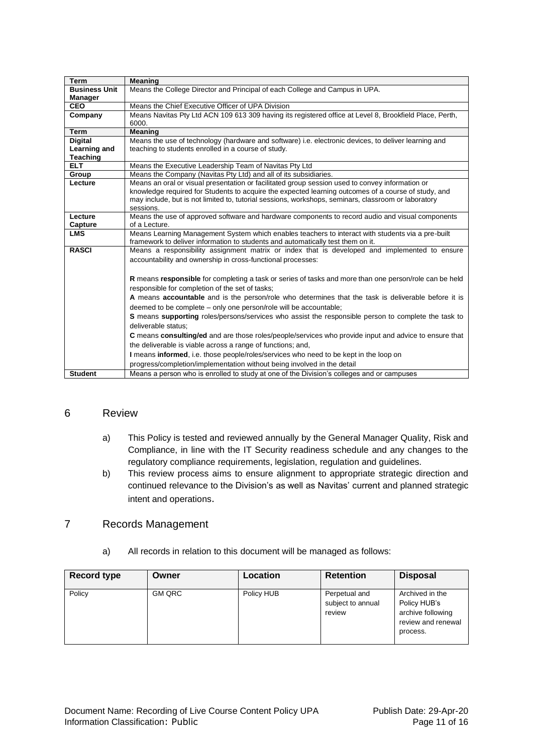| Term                 | <b>Meaning</b>                                                                                                                                                                       |
|----------------------|--------------------------------------------------------------------------------------------------------------------------------------------------------------------------------------|
| <b>Business Unit</b> | Means the College Director and Principal of each College and Campus in UPA.                                                                                                          |
| Manager              |                                                                                                                                                                                      |
| <b>CEO</b>           | Means the Chief Executive Officer of UPA Division                                                                                                                                    |
| Company              | Means Navitas Pty Ltd ACN 109 613 309 having its registered office at Level 8, Brookfield Place, Perth,                                                                              |
|                      | 6000.                                                                                                                                                                                |
| Term                 | Meaning                                                                                                                                                                              |
| <b>Digital</b>       | Means the use of technology (hardware and software) i.e. electronic devices, to deliver learning and                                                                                 |
| Learning and         | teaching to students enrolled in a course of study.                                                                                                                                  |
| <b>Teaching</b>      |                                                                                                                                                                                      |
| ELT.                 | Means the Executive Leadership Team of Navitas Pty Ltd                                                                                                                               |
| Group                | Means the Company (Navitas Pty Ltd) and all of its subsidiaries.                                                                                                                     |
| Lecture              | Means an oral or visual presentation or facilitated group session used to convey information or                                                                                      |
|                      | knowledge required for Students to acquire the expected learning outcomes of a course of study, and                                                                                  |
|                      | may include, but is not limited to, tutorial sessions, workshops, seminars, classroom or laboratory                                                                                  |
|                      | sessions.                                                                                                                                                                            |
| Lecture              | Means the use of approved software and hardware components to record audio and visual components                                                                                     |
| Capture              | of a Lecture.                                                                                                                                                                        |
| <b>LMS</b>           | Means Learning Management System which enables teachers to interact with students via a pre-built<br>framework to deliver information to students and automatically test them on it. |
| <b>RASCI</b>         |                                                                                                                                                                                      |
|                      | Means a responsibility assignment matrix or index that is developed and implemented to ensure                                                                                        |
|                      | accountability and ownership in cross-functional processes:                                                                                                                          |
|                      |                                                                                                                                                                                      |
|                      | R means responsible for completing a task or series of tasks and more than one person/role can be held                                                                               |
|                      | responsible for completion of the set of tasks;                                                                                                                                      |
|                      | A means accountable and is the person/role who determines that the task is deliverable before it is                                                                                  |
|                      | deemed to be complete - only one person/role will be accountable;                                                                                                                    |
|                      | S means supporting roles/persons/services who assist the responsible person to complete the task to                                                                                  |
|                      | deliverable status:                                                                                                                                                                  |
|                      | C means consulting/ed and are those roles/people/services who provide input and advice to ensure that                                                                                |
|                      | the deliverable is viable across a range of functions; and,                                                                                                                          |
|                      | I means informed, i.e. those people/roles/services who need to be kept in the loop on                                                                                                |
|                      | progress/completion/implementation without being involved in the detail                                                                                                              |
| <b>Student</b>       | Means a person who is enrolled to study at one of the Division's colleges and or campuses                                                                                            |
|                      |                                                                                                                                                                                      |

#### <span id="page-10-0"></span>6 Review

- a) This Policy is tested and reviewed annually by the General Manager Quality, Risk and Compliance, in line with the IT Security readiness schedule and any changes to the regulatory compliance requirements, legislation, regulation and guidelines.
- b) This review process aims to ensure alignment to appropriate strategic direction and continued relevance to the Division's as well as Navitas' current and planned strategic intent and operations.

## <span id="page-10-1"></span>7 Records Management

| <b>Record type</b> | Owner         | Location   | <b>Retention</b>                             | <b>Disposal</b>                                                                        |
|--------------------|---------------|------------|----------------------------------------------|----------------------------------------------------------------------------------------|
| Policy             | <b>GM QRC</b> | Policy HUB | Perpetual and<br>subject to annual<br>review | Archived in the<br>Policy HUB's<br>archive following<br>review and renewal<br>process. |

a) All records in relation to this document will be managed as follows: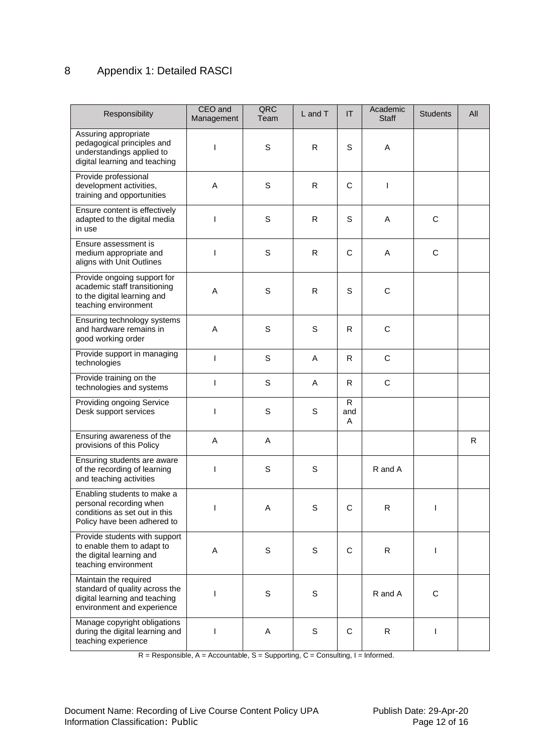## <span id="page-11-0"></span>8 Appendix 1: Detailed RASCI

| Responsibility                                                                                                         | CEO and<br>Management | QRC<br>Team | L and T     | IT             | Academic<br><b>Staff</b> | <b>Students</b> | All |
|------------------------------------------------------------------------------------------------------------------------|-----------------------|-------------|-------------|----------------|--------------------------|-----------------|-----|
| Assuring appropriate<br>pedagogical principles and<br>understandings applied to<br>digital learning and teaching       | ı                     | S           | R           | S              | Α                        |                 |     |
| Provide professional<br>development activities,<br>training and opportunities                                          | A                     | $\mathsf S$ | R.          | C              | I                        |                 |     |
| Ensure content is effectively<br>adapted to the digital media<br>in use                                                | ı                     | $\mathbf S$ | R           | S              | Α                        | $\mathsf C$     |     |
| Ensure assessment is<br>medium appropriate and<br>aligns with Unit Outlines                                            | ı                     | $\mathsf S$ | R           | C              | A                        | $\mathsf C$     |     |
| Provide ongoing support for<br>academic staff transitioning<br>to the digital learning and<br>teaching environment     | A                     | S           | R           | S              | C                        |                 |     |
| Ensuring technology systems<br>and hardware remains in<br>good working order                                           | A                     | $\mathsf S$ | $\mathbb S$ | R              | C                        |                 |     |
| Provide support in managing<br>technologies                                                                            | T                     | S           | A           | R.             | C                        |                 |     |
| Provide training on the<br>technologies and systems                                                                    | -1                    | $\mathsf S$ | Α           | R              | С                        |                 |     |
| Providing ongoing Service<br>Desk support services                                                                     |                       | $\mathsf S$ | S           | R.<br>and<br>A |                          |                 |     |
| Ensuring awareness of the<br>provisions of this Policy                                                                 | A                     | A           |             |                |                          |                 | R   |
| Ensuring students are aware<br>of the recording of learning<br>and teaching activities                                 |                       | S           | S           |                | R and A                  |                 |     |
| Enabling students to make a<br>personal recording when<br>conditions as set out in this<br>Policy have been adhered to | I                     | Α           | S           | C              | R                        | L               |     |
| Provide students with support<br>to enable them to adapt to<br>the digital learning and<br>teaching environment        | Α                     | $\mathbb S$ | $\mathbb S$ | C              | R                        | L               |     |
| Maintain the required<br>standard of quality across the<br>digital learning and teaching<br>environment and experience | ı                     | $\mathbb S$ | $\mathbb S$ |                | R and A                  | $\mathbf C$     |     |
| Manage copyright obligations<br>during the digital learning and<br>teaching experience                                 | ı                     | A           | $\mathbb S$ | C              | $\mathsf{R}$             | L               |     |

 $R =$ Responsible, A = Accountable, S = Supporting, C = Consulting, I = Informed.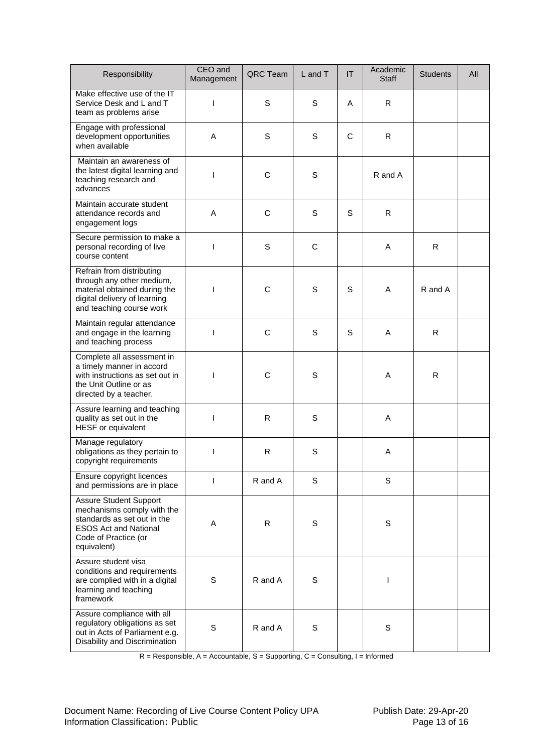| Responsibility                                                                                                                                                    | CEO and<br>Management | QRC Team     | L and T | $\mathsf{I}\mathsf{T}$ | Academic<br>Staff | <b>Students</b> | All |
|-------------------------------------------------------------------------------------------------------------------------------------------------------------------|-----------------------|--------------|---------|------------------------|-------------------|-----------------|-----|
| Make effective use of the IT<br>Service Desk and L and T<br>team as problems arise                                                                                | T                     | S            | S       | A                      | R.                |                 |     |
| Engage with professional<br>development opportunities<br>when available                                                                                           | A                     | S            | S       | C                      | R                 |                 |     |
| Maintain an awareness of<br>the latest digital learning and<br>teaching research and<br>advances                                                                  |                       | $\mathsf C$  | S       |                        | R and A           |                 |     |
| Maintain accurate student<br>attendance records and<br>engagement logs                                                                                            | A                     | $\mathsf{C}$ | S       | S                      | R                 |                 |     |
| Secure permission to make a<br>personal recording of live<br>course content                                                                                       | ı                     | S            | C       |                        | A                 | R               |     |
| Refrain from distributing<br>through any other medium,<br>material obtained during the<br>digital delivery of learning<br>and teaching course work                |                       | $\mathsf C$  | S       | S                      | A                 | R and A         |     |
| Maintain regular attendance<br>and engage in the learning<br>and teaching process                                                                                 | ı                     | C            | S       | S                      | Α                 | R               |     |
| Complete all assessment in<br>a timely manner in accord<br>with instructions as set out in<br>the Unit Outline or as<br>directed by a teacher.                    |                       | C            | S       |                        | A                 | R               |     |
| Assure learning and teaching<br>quality as set out in the<br>HESF or equivalent                                                                                   | I                     | R            | S       |                        | A                 |                 |     |
| Manage regulatory<br>obligations as they pertain to<br>copyright requirements                                                                                     |                       | R            | S       |                        | Α                 |                 |     |
| Ensure copyright licences<br>and permissions are in place                                                                                                         | ı                     | R and A      | S       |                        | S                 |                 |     |
| <b>Assure Student Support</b><br>mechanisms comply with the<br>standards as set out in the<br><b>ESOS Act and National</b><br>Code of Practice (or<br>equivalent) | Α                     | $\mathsf{R}$ | S       |                        | S                 |                 |     |
| Assure student visa<br>conditions and requirements<br>are complied with in a digital<br>learning and teaching<br>framework                                        | $\mathbb S$           | R and A      | S       |                        | I                 |                 |     |
| Assure compliance with all<br>regulatory obligations as set<br>out in Acts of Parliament e.g.<br>Disability and Discrimination                                    | S                     | R and A      | S       |                        | S                 |                 |     |

R = Responsible, A = Accountable, S = Supporting, C = Consulting, I = Informed

Document Name: Recording of Live Course Content Policy UPA Publish Date: 29-Apr-20<br>Page 13 of 16 Information Classification: Public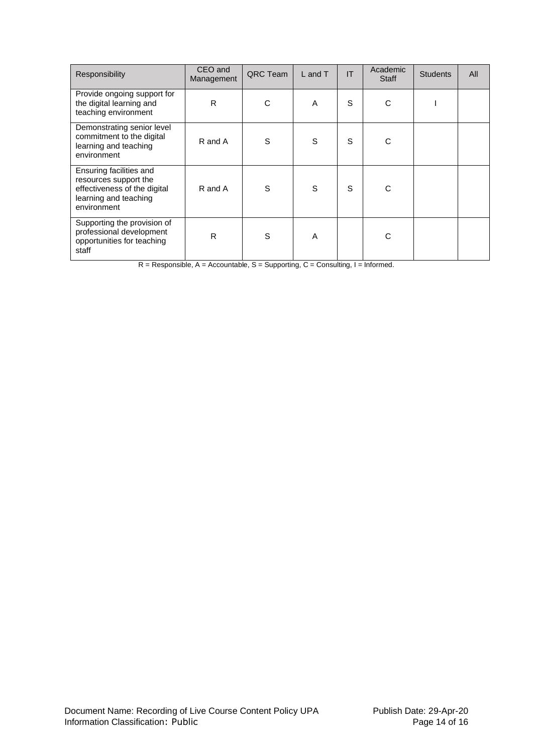| Responsibility                                                                                                           | CEO and<br>Management | QRC Team | $L$ and $T$ | IT | Academic<br>Staff | <b>Students</b> | All |
|--------------------------------------------------------------------------------------------------------------------------|-----------------------|----------|-------------|----|-------------------|-----------------|-----|
| Provide ongoing support for<br>the digital learning and<br>teaching environment                                          | R                     | C        | A           | S  | С                 |                 |     |
| Demonstrating senior level<br>commitment to the digital<br>learning and teaching<br>environment                          | R and A               | S        | S           | S  | C                 |                 |     |
| Ensuring facilities and<br>resources support the<br>effectiveness of the digital<br>learning and teaching<br>environment | R and A               | S        | S           | S  | Ċ                 |                 |     |
| Supporting the provision of<br>professional development<br>opportunities for teaching<br>staff                           | $\mathsf{R}$          | S        | A           |    | C                 |                 |     |

 $R =$ Responsible, A = Accountable, S = Supporting, C = Consulting, I = Informed.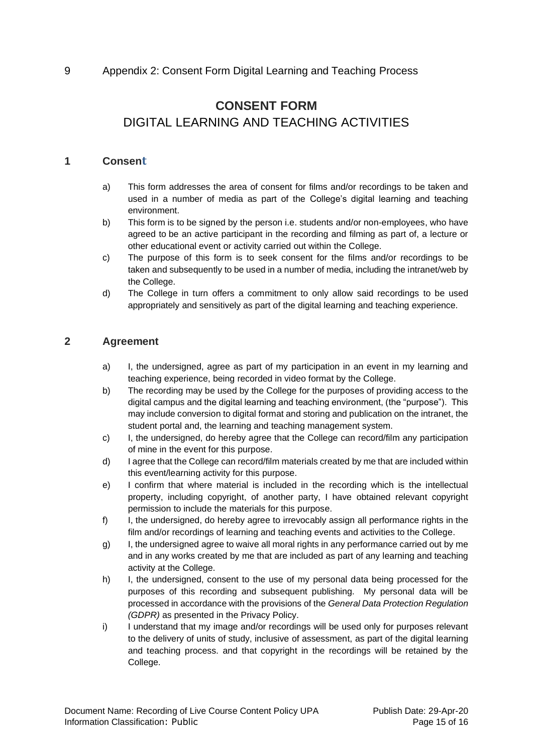## <span id="page-14-0"></span>9 Appendix 2: Consent Form Digital Learning and Teaching Process

## **CONSENT FORM** DIGITAL LEARNING AND TEACHING ACTIVITIES

## **1 Consent**

- a) This form addresses the area of consent for films and/or recordings to be taken and used in a number of media as part of the College's digital learning and teaching environment.
- b) This form is to be signed by the person i.e. students and/or non-employees, who have agreed to be an active participant in the recording and filming as part of, a lecture or other educational event or activity carried out within the College.
- c) The purpose of this form is to seek consent for the films and/or recordings to be taken and subsequently to be used in a number of media, including the intranet/web by the College.
- d) The College in turn offers a commitment to only allow said recordings to be used appropriately and sensitively as part of the digital learning and teaching experience.

## **2 Agreement**

- a) I, the undersigned, agree as part of my participation in an event in my learning and teaching experience, being recorded in video format by the College.
- b) The recording may be used by the College for the purposes of providing access to the digital campus and the digital learning and teaching environment, (the "purpose"). This may include conversion to digital format and storing and publication on the intranet, the student portal and, the learning and teaching management system.
- c) I, the undersigned, do hereby agree that the College can record/film any participation of mine in the event for this purpose.
- d) I agree that the College can record/film materials created by me that are included within this event/learning activity for this purpose.
- e) I confirm that where material is included in the recording which is the intellectual property, including copyright, of another party, I have obtained relevant copyright permission to include the materials for this purpose.
- f) I, the undersigned, do hereby agree to irrevocably assign all performance rights in the film and/or recordings of learning and teaching events and activities to the College.
- g) I, the undersigned agree to waive all moral rights in any performance carried out by me and in any works created by me that are included as part of any learning and teaching activity at the College.
- h) I, the undersigned, consent to the use of my personal data being processed for the purposes of this recording and subsequent publishing. My personal data will be processed in accordance with the provisions of the *General Data Protection Regulation (GDPR)* as presented in the Privacy Policy.
- i) I understand that my image and/or recordings will be used only for purposes relevant to the delivery of units of study, inclusive of assessment, as part of the digital learning and teaching process. and that copyright in the recordings will be retained by the College.